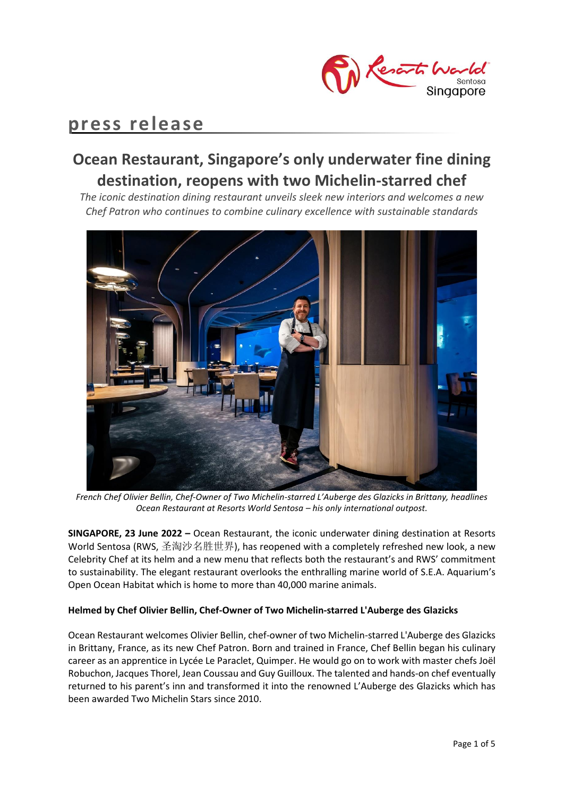

# **press release**

# **Ocean Restaurant, Singapore's only underwater fine dining destination, reopens with two Michelin-starred chef**

*The iconic destination dining restaurant unveils sleek new interiors and welcomes a new Chef Patron who continues to combine culinary excellence with sustainable standards* 



*French Chef Olivier Bellin, Chef-Owner of Two Michelin-starred L'Auberge des Glazicks in Brittany, headlines Ocean Restaurant at Resorts World Sentosa – his only international outpost.*

**SINGAPORE, 23 June 2022 –** Ocean Restaurant, the iconic underwater dining destination at Resorts World Sentosa (RWS, 圣淘沙名胜世界), has reopened with a completely refreshed new look, a new Celebrity Chef at its helm and a new menu that reflects both the restaurant's and RWS' commitment to sustainability. The elegant restaurant overlooks the enthralling marine world of S.E.A. Aquarium's Open Ocean Habitat which is home to more than 40,000 marine animals.

# **Helmed by Chef Olivier Bellin, Chef-Owner of Two Michelin-starred L'Auberge des Glazicks**

Ocean Restaurant welcomes Olivier Bellin, chef-owner of two Michelin-starred L'Auberge des Glazicks in Brittany, France, as its new Chef Patron. Born and trained in France, Chef Bellin began his culinary career as an apprentice in Lycée Le Paraclet, Quimper. He would go on to work with master chefs Joël Robuchon, Jacques Thorel, Jean Coussau and Guy Guilloux. The talented and hands-on chef eventually returned to his parent's inn and transformed it into the renowned L'Auberge des Glazicks which has been awarded Two Michelin Stars since 2010.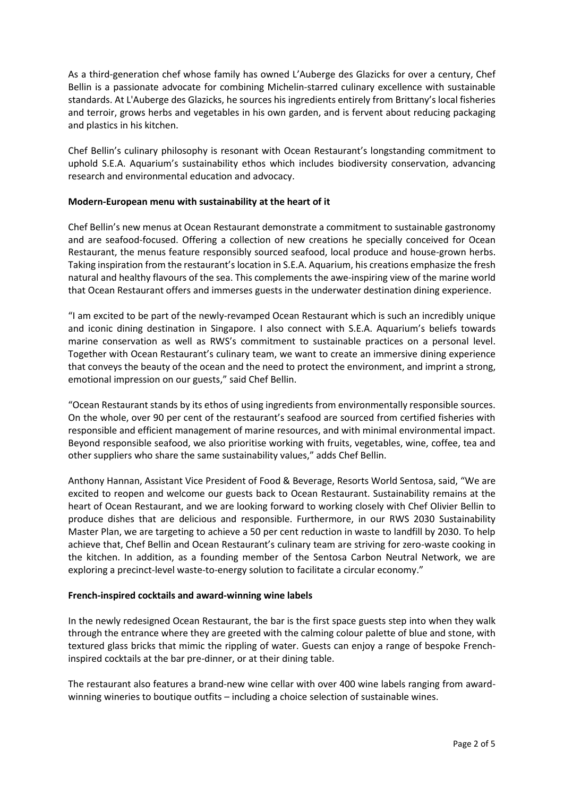As a third-generation chef whose family has owned L'Auberge des Glazicks for over a century, Chef Bellin is a passionate advocate for combining Michelin-starred culinary excellence with sustainable standards. At L'Auberge des Glazicks, he sources his ingredients entirely from Brittany's local fisheries and terroir, grows herbs and vegetables in his own garden, and is fervent about reducing packaging and plastics in his kitchen.

Chef Bellin's culinary philosophy is resonant with Ocean Restaurant's longstanding commitment to uphold S.E.A. Aquarium's sustainability ethos which includes biodiversity conservation, advancing research and environmental education and advocacy.

## **Modern-European menu with sustainability at the heart of it**

Chef Bellin's new menus at Ocean Restaurant demonstrate a commitment to sustainable gastronomy and are seafood-focused. Offering a collection of new creations he specially conceived for Ocean Restaurant, the menus feature responsibly sourced seafood, local produce and house-grown herbs. Taking inspiration from the restaurant's location in S.E.A. Aquarium, his creations emphasize the fresh natural and healthy flavours of the sea. This complements the awe-inspiring view of the marine world that Ocean Restaurant offers and immerses guests in the underwater destination dining experience.

"I am excited to be part of the newly-revamped Ocean Restaurant which is such an incredibly unique and iconic dining destination in Singapore. I also connect with S.E.A. Aquarium's beliefs towards marine conservation as well as RWS's commitment to sustainable practices on a personal level. Together with Ocean Restaurant's culinary team, we want to create an immersive dining experience that conveys the beauty of the ocean and the need to protect the environment, and imprint a strong, emotional impression on our guests," said Chef Bellin.

"Ocean Restaurant stands by its ethos of using ingredients from environmentally responsible sources. On the whole, over 90 per cent of the restaurant's seafood are sourced from certified fisheries with responsible and efficient management of marine resources, and with minimal environmental impact. Beyond responsible seafood, we also prioritise working with fruits, vegetables, wine, coffee, tea and other suppliers who share the same sustainability values," adds Chef Bellin.

Anthony Hannan, Assistant Vice President of Food & Beverage, Resorts World Sentosa, said, "We are excited to reopen and welcome our guests back to Ocean Restaurant. Sustainability remains at the heart of Ocean Restaurant, and we are looking forward to working closely with Chef Olivier Bellin to produce dishes that are delicious and responsible. Furthermore, in our RWS 2030 Sustainability Master Plan, we are targeting to achieve a 50 per cent reduction in waste to landfill by 2030. To help achieve that, Chef Bellin and Ocean Restaurant's culinary team are striving for zero-waste cooking in the kitchen. In addition, as a founding member of the Sentosa Carbon Neutral Network, we are exploring a precinct-level waste-to-energy solution to facilitate a circular economy."

### **French-inspired cocktails and award-winning wine labels**

In the newly redesigned Ocean Restaurant, the bar is the first space guests step into when they walk through the entrance where they are greeted with the calming colour palette of blue and stone, with textured glass bricks that mimic the rippling of water. Guests can enjoy a range of bespoke Frenchinspired cocktails at the bar pre-dinner, or at their dining table.

The restaurant also features a brand-new wine cellar with over 400 wine labels ranging from awardwinning wineries to boutique outfits – including a choice selection of sustainable wines.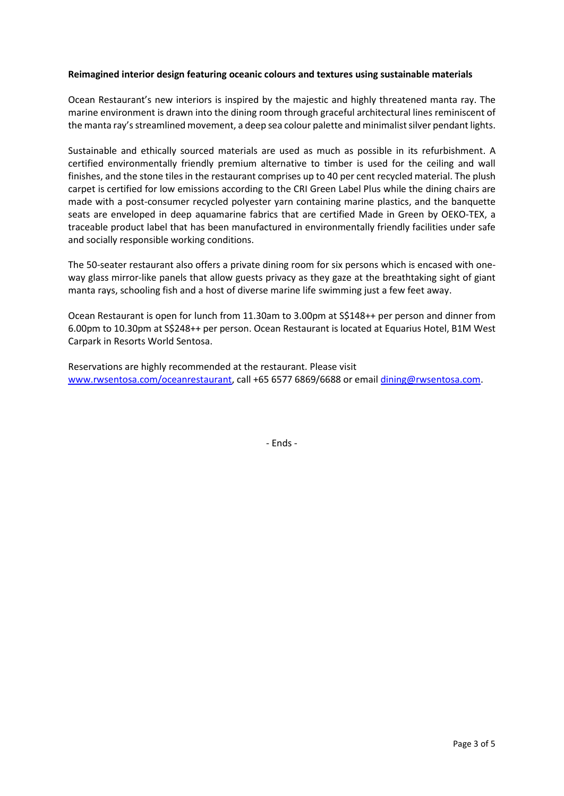### **Reimagined interior design featuring oceanic colours and textures using sustainable materials**

Ocean Restaurant's new interiors is inspired by the majestic and highly threatened manta ray. The marine environment is drawn into the dining room through graceful architectural lines reminiscent of the manta ray'sstreamlined movement, a deep sea colour palette and minimalist silver pendant lights.

Sustainable and ethically sourced materials are used as much as possible in its refurbishment. A certified environmentally friendly premium alternative to timber is used for the ceiling and wall finishes, and the stone tiles in the restaurant comprises up to 40 per cent recycled material. The plush carpet is certified for low emissions according to the CRI Green Label Plus while the dining chairs are made with a post-consumer recycled polyester yarn containing marine plastics, and the banquette seats are enveloped in deep aquamarine fabrics that are certified Made in Green by OEKO-TEX, a traceable product label that has been manufactured in environmentally friendly facilities under safe and socially responsible working conditions.

The 50-seater restaurant also offers a private dining room for six persons which is encased with oneway glass mirror-like panels that allow guests privacy as they gaze at the breathtaking sight of giant manta rays, schooling fish and a host of diverse marine life swimming just a few feet away.

Ocean Restaurant is open for lunch from 11.30am to 3.00pm at S\$148++ per person and dinner from 6.00pm to 10.30pm at S\$248++ per person. Ocean Restaurant is located at Equarius Hotel, B1M West Carpark in Resorts World Sentosa.

Reservations are highly recommended at the restaurant. Please visit [www.rwsentosa.com/oceanrestaurant,](http://www.rwsentosa.com/oceanrestaurant) call +65 6577 6869/6688 or email [dining@rwsentosa.com.](mailto:dining@rwsentosa.com)

- Ends -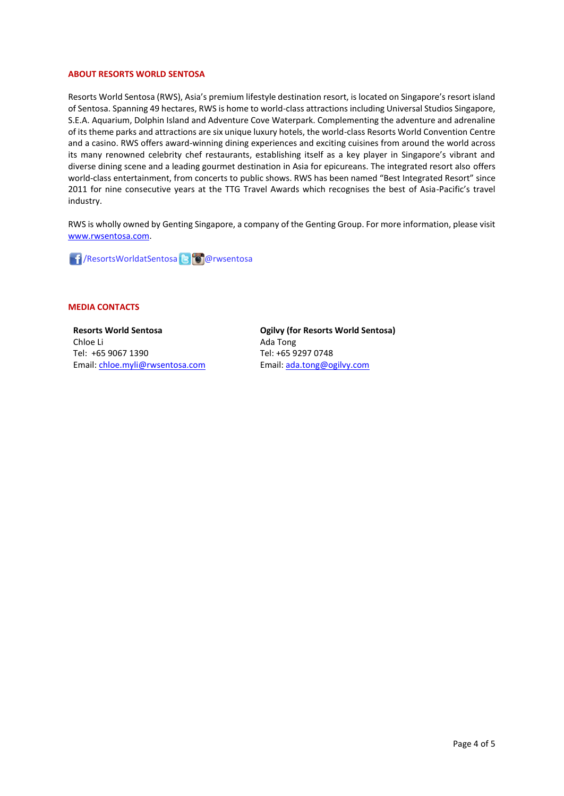#### **ABOUT RESORTS WORLD SENTOSA**

Resorts World Sentosa (RWS), Asia's premium lifestyle destination resort, is located on Singapore's resort island of Sentosa. Spanning 49 hectares, RWS is home to world-class attractions including Universal Studios Singapore, S.E.A. Aquarium, Dolphin Island and Adventure Cove Waterpark. Complementing the adventure and adrenaline of its theme parks and attractions are six unique luxury hotels, the world-class Resorts World Convention Centre and a casino. RWS offers award-winning dining experiences and exciting cuisines from around the world across its many renowned celebrity chef restaurants, establishing itself as a key player in Singapore's vibrant and diverse dining scene and a leading gourmet destination in Asia for epicureans. The integrated resort also offers world-class entertainment, from concerts to public shows. RWS has been named "Best Integrated Resort" since 2011 for nine consecutive years at the TTG Travel Awards which recognises the best of Asia-Pacific's travel industry.

RWS is wholly owned by Genting Singapore, a company of the Genting Group. For more information, please visit [www.rwsentosa.com.](http://www.rwsentosa.com/)

**1 / Resorts Worldat Sentosa & Collar wsentosa** 

#### **MEDIA CONTACTS**

**Resorts World Sentosa** Chloe Li Tel: +65 9067 1390 Email[: chloe.myli@rwsentosa.com](mailto:chloe.myli@rwsentosa.com) **Ogilvy (for Resorts World Sentosa)** Ada Tong Tel: +65 9297 0748 Email: [ada.tong@ogilvy.com](mailto:ada.tong@ogilvy.com)